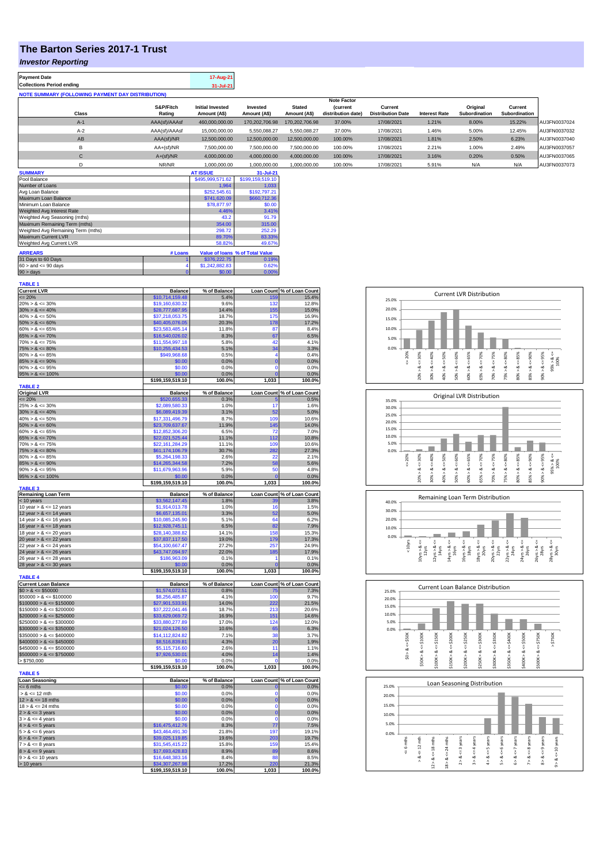## **The Barton Series 2017-1 Trust**

# *Investor Reporting*

| <b>Payment Date</b>                                      | 17-Aug-21 |
|----------------------------------------------------------|-----------|
| <b>Collections Period ending</b>                         | 31-Jul-21 |
| <b>NOTE SUMMARY (FOLLOWING PAYMENT DAY DISTRIBUTION)</b> |           |

|              |               |                         |                |                | <b>Note Factor</b> |                          |                      |               |               |              |
|--------------|---------------|-------------------------|----------------|----------------|--------------------|--------------------------|----------------------|---------------|---------------|--------------|
|              | S&P/Fitch     | <b>Initial Invested</b> | Invested       | <b>Stated</b>  | <b>(current</b>    | Current                  |                      | Original      | Current       |              |
| Class        | Rating        | Amount (A\$)            | Amount (A\$)   | Amount (A\$)   | distribution date) | <b>Distribution Date</b> | <b>Interest Rate</b> | Subordination | Subordination |              |
| $A-1$        | AAA(sf)/AAAsf | 460.000.000.00          | 170.202.706.98 | 170.202.706.98 | 37.00%             | 17/08/2021               | 1.21%                | 8.00%         | 15.22%        | AU3FN0037024 |
| $A-2$        | AAA(sf)/AAAsf | 15,000,000,00           | 5.550.088.27   | 5.550.088.27   | 37.00%             | 17/08/2021               | 1.46%                | 5.00%         | 12.45%        | AU3FN0037032 |
| AB           | AAA(sf)/NR    | 12,500,000.00           | 12.500.000.00  | 12.500.000.00  | 100.00%            | 17/08/2021               | 1.81%                | 2.50%         | 6.23%         | AU3FN0037040 |
| в            | $AA+(sf)/NR$  | 7.500.000.00            | 7.500.000.00   | 7.500.000.00   | 100.00%            | 17/08/2021               | 2.21%                | 1.00%         | 2.49%         | AU3FN0037057 |
| $\mathsf{C}$ | $A+(sf)/NR$   | 4.000.000.00            | 4.000.000.00   | 4.000.000.00   | 100.00%            | 17/08/2021               | 3.16%                | 0.20%         | 0.50%         | AU3FN0037065 |
|              | NR/NR         | 1,000,000.00            | 1,000,000.00   | 1,000,000.00   | 100.00%            | 17/08/2021               | 5.91%                | N/A           | N/A           | AU3FN0037073 |
| ------------ |               | -----------             | .              |                |                    |                          |                      |               |               |              |

| <b>SUMMARY</b>                     |          | <b>AT ISSUE</b>  | 31-Jul-21                       |
|------------------------------------|----------|------------------|---------------------------------|
| Pool Balance                       |          | \$495,999,571.62 | \$199,159,519.10                |
| Number of Loans                    |          | 1.964            | 1.033                           |
| Avg Loan Balance                   |          | \$252,545.61     | \$192,797.21                    |
| Maximum Loan Balance               |          | \$741,620.09     | \$660,712.36                    |
| Minimum Loan Balance               |          | \$78,877.97      | \$0.00                          |
| Weighted Avg Interest Rate         |          | 4.46%            | 3.41%                           |
| Weighted Avg Seasoning (mths)      |          | 43.2             | 91.79                           |
| Maximum Remaining Term (mths)      |          | 354.00           | 315.00                          |
| Weighted Avg Remaining Term (mths) |          | 298.72           | 252.29                          |
| Maximum Current LVR                |          | 89.70%           | 83.33%                          |
| Weighted Avg Current LVR           |          | 58.82%           | 49.67%                          |
| <b>ARREARS</b>                     | # Loans  |                  | Value of Ioans % of Total Value |
| 31 Days to 60 Days                 |          | \$376,222,75     | 0.19%                           |
| $60 >$ and $\leq 90$ days          |          | \$1,242,882.83   | 0.62%                           |
| $90 >$ days                        | $\bf{0}$ | \$0.00           | 0.00%                           |

| <b>TABLE 1</b>                                           |                                     |                      |                         |                                     |
|----------------------------------------------------------|-------------------------------------|----------------------|-------------------------|-------------------------------------|
| <b>Current LVR</b><br>$= 20%$                            | <b>Balance</b><br>\$10,714,159.48   | % of Balance<br>5.4% | 159                     | Loan Count % of Loan Count<br>15.4% |
| $20\% > 8 \le 30\%$                                      | \$19,160,630.32                     | 9.6%                 | 132                     | 12.8%                               |
| $30\% > 8 \le 40\%$                                      | \$28,777,687.95                     | 14.4%                | 155                     | 15.0%                               |
| $40\% > 8 \le 50\%$                                      | \$37,218,053.75                     | 18.7%                | 175                     | 16.9%                               |
| $50\% > 8 \le 60\%$                                      | \$40,405,076.05                     | 20.3%                | 178                     | 17.2%                               |
| $60\% > 8 \le 65\%$                                      | \$23,583,485.14                     | 11.8%                | 87                      | 8.4%                                |
| $65\% > 8 \le 70\%$                                      | \$16,540,026.02                     | 8.3%                 | 67                      | 6.5%                                |
| $70\% > 8 \le 75\%$<br>$75\% > 8 \le 80\%$               | \$11,554,997.18<br>\$10,255,434.53  | 5.8%<br>5.1%         | 42<br>34                | 4.1%<br>3.3%                        |
| $80\% > 8 \le 85\%$                                      | \$949,968.68                        | 0.5%                 | 4                       | 0.4%                                |
| $85\% > 8 \le 90\%$                                      | \$0.00                              | 0.0%                 | $\overline{0}$          | 0.0%                                |
| $90\% > 8 \le 95\%$                                      | \$0.00                              | 0.0%                 | n                       | 0.0%                                |
| $95\% > 8 \le 100\%$                                     | \$0.00                              | 0.0%                 | $\overline{0}$          | 0.0%                                |
|                                                          | \$199,159,519.10                    | 100.0%               | 1,033                   | 100.0%                              |
| <b>TABLE 2</b>                                           | <b>Balance</b>                      |                      |                         |                                     |
| <b>Original LVR</b><br>$= 20%$                           | \$520,655.33                        | % of Balance<br>0.3% | Б                       | Loan Count % of Loan Count<br>0.5%  |
| $25\% > 8 \le 30\%$                                      | \$2,089,580.33                      | 1.0%                 | 17                      | 1.6%                                |
| $30\% > 8 \le 40\%$                                      | \$6,089,419.39                      | 3.1%                 | 52                      | 5.0%                                |
| $40\% > 8 \le 50\%$                                      | \$17,331,496.79                     | 8.7%                 | 109                     | 10.6%                               |
| $50\% > 8 \le 60\%$                                      | \$23,709,637.67                     | 11.9%                | 145                     | 14.0%                               |
| $60\% > 8 \le 65\%$                                      | \$12,852,306.20                     | 6.5%                 | 72                      | 7.0%                                |
| $65\% > 8 \le 70\%$<br>$70\% > 8 \le 75\%$               | \$22,021,525.44<br>\$22,161,284.29  | 11.1%<br>11.1%       | 112<br>109              | 10.8%<br>10.6%                      |
| $75\% > 8 \le 80\%$                                      | \$61,174,106.79                     | 30.7%                | 282                     | 27.3%                               |
| $80\% > 8 \le 85\%$                                      | \$5,264,198.33                      | 2.6%                 | 22                      | 2.1%                                |
| $85\% > 8 \le 90\%$                                      | \$14,265,344.58                     | 7.2%                 | 58                      | 5.6%                                |
| $90\% > 8 \le 95\%$                                      | \$11,679,963.96                     | 5.9%                 | 50                      | 4.8%                                |
| $95\% > 8 \le 100\%$                                     | \$0.00                              | 0.0%                 | $\mathbf{0}$            | 0.0%                                |
| <b>TABLE 3</b>                                           | \$199,159,519.10                    | 100.0%               | 1,033                   | 100.0%                              |
| Remaining Loan Term                                      | <b>Balance</b>                      | % of Balance         |                         | Loan Count % of Loan Count          |
| < 10 years                                               | \$3,562,147.45                      | 1.8%                 | зс                      | 3.8%                                |
| 10 year $> 8 \le 12$ years                               | \$1,914,013.78                      | 1.0%                 | 16                      | 1.5%                                |
| 12 year $> 8 \le 14$ years                               | \$6,657,135.01<br>\$10,085,245.90   | 3.3%<br>5.1%         | 52<br>64                | 5.0%<br>6.2%                        |
| 14 year $> 8 \le 16$ years<br>16 year $> 8 \le 18$ years | \$12,928,745.11                     | 6.5%                 | 82                      | 7.9%                                |
| 18 year $> 8 \le 20$ years                               | \$28,140,388.82                     | 14.1%                | 158                     | 15.3%                               |
| 20 year $> 8 \le 22$ years                               | \$37,837,117.50                     | 19.0%                | 179                     | 17.3%                               |
| 22 year > & <= 24 years                                  | \$54,100,667.47                     | 27.2%                | 257                     | 24.9%                               |
| 24 year $> 8 \le 26$ years                               | \$43,747,094.97                     | 22.0%                | 185                     | 17.9%                               |
| 26 year $> 8 \le 28$ years                               | \$186,963.09                        | 0.1%                 | 1                       | 0.1%                                |
| 28 year $> 8 \le 30$ years                               | \$0.00<br>\$199,159,519.10          | 0.0%<br>100.0%       | $\overline{0}$<br>1,033 | 0.0%<br>100.0%                      |
| <b>TABLE 4</b>                                           |                                     |                      |                         |                                     |
| <b>Current Loan Balance</b>                              | <b>Balance</b>                      | % of Balance         | <b>Loan Count</b>       | % of Loan Count                     |
| $$0 > 8 \le $50000$                                      | \$1,574,072.51                      | 0.8%                 | 75                      | 7.3%                                |
| $$50000 > 8 \le $100000$                                 | \$8,256,485.87                      | 4.1%                 | 100                     | 9.7%                                |
| $$100000 > 8 \le $150000$                                | \$27,901,533.91                     | 14.0%                | 222                     | 21.5%                               |
| $$150000 > 8 \le $200000$<br>$$200000 > 8 \le $250000$   | \$37,222,041.46<br>\$33,629,069.72  | 18.7%<br>16.9%       | 213<br>151              | 20.6%<br>14.6%                      |
| $$250000 > 8 \le $300000$                                | \$33,880,277.89                     | 17.0%                | 124                     | 12.0%                               |
| $$300000 > 8 \leq $350000$                               | \$21,024,126.50                     | 10.6%                | 65                      | 6.3%                                |
| $$350000 > 8 \le $400000$                                | \$14,112,824.82                     | 7.1%                 | 38                      | 3.7%                                |
| $$400000 > 8 \leq $450000$                               | \$8,516,839.81                      | 4.3%                 | 20                      | 1.9%                                |
| $$450000 > 8 \le $500000$                                | \$5,115,716.60                      | 2.6%                 | 11                      | 1.1%                                |
| $$500000 > 8 \le $750000$                                | \$7,926,530.01                      | 4.0%                 | 14                      | 1.4%                                |
| > \$750,000                                              | \$0.00<br>\$199,159,519.10          | 0.0%<br>100.0%       | $\Omega$<br>1,033       | 0.0%<br>100.0%                      |
| <b>TABLE 5</b>                                           |                                     |                      |                         |                                     |
| <b>Loan Seasoning</b>                                    | <b>Balance</b>                      | % of Balance         |                         | Loan Count % of Loan Count          |
| $= 6$ mths                                               | \$0.00                              | 0.0%                 | O                       | 0.0%                                |
| $> 8 \le 12$ mth                                         | \$0.00                              | 0.0%                 | $\Omega$                | 0.0%                                |
| $12 > 8 \le 18$ mths<br>$18 > 8 \le 24$ mths             | \$0.00<br>\$0.00                    | 0.0%<br>0.0%         | $\mathbf 0$<br>$\Omega$ | 0.0%<br>0.0%                        |
| $2 > 8 \le 3$ years                                      | \$0.00                              | 0.0%                 | $\mathbf 0$             | 0.0%                                |
| $3 > 8 \le 4$ years                                      | \$0.00                              | 0.0%                 | $\mathbf 0$             | 0.0%                                |
| $4 > 8 \le 5$ years                                      | \$16,475,412.76                     | 8.3%                 | 77                      | 7.5%                                |
| $5 > 8 \le 6$ years                                      | \$43,464,491.30                     | 21.8%                | 197                     | 19.1%                               |
| $6 > 8 \le 7$ years                                      | \$39,025,119.85                     | 19.6%                | 203                     | 19.7%                               |
| $7 > 8 \le 8$ years                                      | \$31,545,415.22                     | 15.8%                | 159                     | 15.4%                               |
| $8 > 8 \le 9$ years<br>$9 > 8 \le 10$ years              | \$17,693,428.83<br>\$16,648,383.16  | 8.9%<br>8.4%         | 89<br>88                | 8.6%<br>8.5%                        |
|                                                          |                                     |                      |                         |                                     |
|                                                          |                                     |                      | 220                     |                                     |
| > 10 years                                               | \$34,307,267.98<br>\$199,159,519.10 | 17.2%<br>100.0%      | 1,033                   | 21.3%<br>100.0%                     |



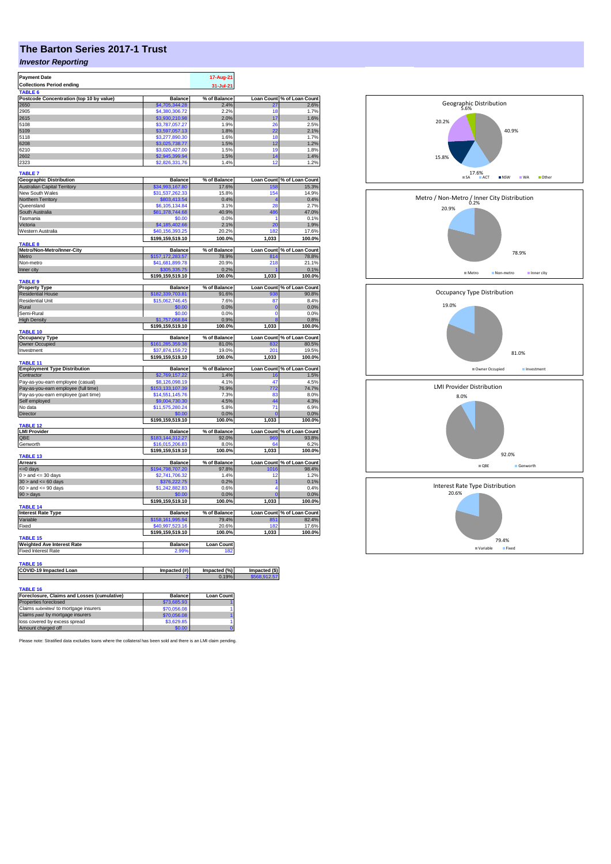# **The Barton Series 2017-1 Trust**

### *Investor Reporting*

| <b>Payment Date</b>                              | 17-Aug-21                          |                   |                   |                                                                                                                                                                                                                                                                                                                               |
|--------------------------------------------------|------------------------------------|-------------------|-------------------|-------------------------------------------------------------------------------------------------------------------------------------------------------------------------------------------------------------------------------------------------------------------------------------------------------------------------------|
| <b>Collections Period ending</b>                 |                                    | 31-Jul-21         |                   |                                                                                                                                                                                                                                                                                                                               |
| TABLE <sub>6</sub>                               |                                    |                   |                   |                                                                                                                                                                                                                                                                                                                               |
| Postcode Concentration (top 10 by value)         | <b>Balance</b>                     | % of Balance      | <b>Loan Count</b> | % of Loan Count                                                                                                                                                                                                                                                                                                               |
| 2650                                             | \$4,705,344.28                     | 2.4%              | 27                | 2.6%                                                                                                                                                                                                                                                                                                                          |
| 2905<br>2615                                     | \$4,380,306.72<br>\$3,930,210.98   | 2.2%<br>2.0%      | 18<br>17          | 1.7%<br>1.6%                                                                                                                                                                                                                                                                                                                  |
| 5108                                             | \$3,787,057.27                     | 1.9%              | 26                | 2.5%                                                                                                                                                                                                                                                                                                                          |
| 5109                                             | \$3,597,057.13                     | 1.8%              | 22                | 2.1%                                                                                                                                                                                                                                                                                                                          |
| 5118                                             | \$3,277,890.30                     | 1.6%              | 18                | 1.7%                                                                                                                                                                                                                                                                                                                          |
| 6208                                             | \$3,025,738.77                     | 1.5%              | 12                | 1.2%                                                                                                                                                                                                                                                                                                                          |
| 6210                                             | \$3,020,427.00                     | 1.5%              | 19                | 1.8%                                                                                                                                                                                                                                                                                                                          |
| 2602                                             | \$2,945,399.94                     | 1.5%              | 14                | 1.4%                                                                                                                                                                                                                                                                                                                          |
| 2323                                             | \$2,826,331.76                     | 1.4%              | 12                | 1.2%                                                                                                                                                                                                                                                                                                                          |
|                                                  |                                    |                   |                   |                                                                                                                                                                                                                                                                                                                               |
| <b>TABLE 7</b>                                   |                                    |                   |                   |                                                                                                                                                                                                                                                                                                                               |
| <b>Geographic Distribution</b>                   | <b>Balance</b>                     | % of Balance      | <b>Loan Count</b> | % of Loan Count                                                                                                                                                                                                                                                                                                               |
| <b>Australian Capital Territory</b>              | \$34,993,167.80                    | 17.6%             | 158<br>154        | 15.3%<br>14.9%                                                                                                                                                                                                                                                                                                                |
| New South Wales<br>Northern Territory            | \$31,537,262.33                    | 15.8%<br>0.4%     | $\overline{4}$    | 0.4%                                                                                                                                                                                                                                                                                                                          |
| Queensland                                       | \$803,413.54<br>\$6,105,134.84     | 3.1%              | 28                | 2.7%                                                                                                                                                                                                                                                                                                                          |
| South Australia                                  | \$81,378,744.68                    | 40.9%             | 486               | 47.0%                                                                                                                                                                                                                                                                                                                         |
| Tasmania                                         | \$0.00                             | 0.0%              | 1                 | 0.1%                                                                                                                                                                                                                                                                                                                          |
| Victoria                                         | \$4,185,402.66                     | 2.1%              | 20                | 1.9%                                                                                                                                                                                                                                                                                                                          |
| Western Australia                                | \$40,156,393.25                    | 20.2%             | 182               | 17.6%                                                                                                                                                                                                                                                                                                                         |
|                                                  | \$199,159,519.10                   | 100.0%            | 1,033             | 100.0%                                                                                                                                                                                                                                                                                                                        |
| <b>TARIFR</b>                                    |                                    |                   |                   |                                                                                                                                                                                                                                                                                                                               |
| Metro/Non-Metro/Inner-City                       | <b>Balance</b>                     | % of Balance      |                   | Loan Count % of Loan Count                                                                                                                                                                                                                                                                                                    |
| Metro                                            | \$157,172,283.57                   | 78.9%             | 814               | 78.8%                                                                                                                                                                                                                                                                                                                         |
| Non-metro                                        | \$41,681,899.78                    | 20.9%             | 218               | 21.1%                                                                                                                                                                                                                                                                                                                         |
| Inner city                                       | 305,335.75                         | 0.2%              |                   | 0.1%                                                                                                                                                                                                                                                                                                                          |
|                                                  | \$199,159,519.10                   | 100.0%            | 1,033             | 100.0%                                                                                                                                                                                                                                                                                                                        |
| <b>TABLE 9</b>                                   |                                    | % of Balance      |                   |                                                                                                                                                                                                                                                                                                                               |
| <b>Property Type</b><br><b>Residential House</b> | <b>Balance</b><br>\$182,339,703.81 | 91.6%             | 938               | Loan Count % of Loan Count<br>90.8%                                                                                                                                                                                                                                                                                           |
| <b>Residential Unit</b>                          | \$15,062,746.45                    | 7.6%              | 87                | 8.4%                                                                                                                                                                                                                                                                                                                          |
| Rural                                            | \$0.00                             | 0.0%              | $\overline{0}$    | 0.0%                                                                                                                                                                                                                                                                                                                          |
| Semi-Rural                                       | \$0.00                             | 0.0%              | $\Omega$          | 0.0%                                                                                                                                                                                                                                                                                                                          |
| <b>High Density</b>                              | \$1,757,068.84                     | 0.9%              | 8                 | 0.8%                                                                                                                                                                                                                                                                                                                          |
|                                                  | \$199,159,519.10                   | 100.0%            | 1.033             | 100.0%                                                                                                                                                                                                                                                                                                                        |
| <b>TABLE 10</b>                                  |                                    |                   |                   |                                                                                                                                                                                                                                                                                                                               |
| <b>Occupancy Type</b>                            | <b>Balance</b>                     | % of Balance      | <b>Loan Count</b> | % of Loan Count                                                                                                                                                                                                                                                                                                               |
|                                                  |                                    |                   |                   |                                                                                                                                                                                                                                                                                                                               |
| Owner Occupied                                   | \$161.285.359.38                   | 81.0%             | 832               |                                                                                                                                                                                                                                                                                                                               |
| Investment                                       | \$37.874.159.72                    | 19.0%             | 201               |                                                                                                                                                                                                                                                                                                                               |
|                                                  | \$199,159,519.10                   | 100.0%            | 1,033             |                                                                                                                                                                                                                                                                                                                               |
| TABLE <sub>11</sub>                              |                                    |                   |                   |                                                                                                                                                                                                                                                                                                                               |
| <b>Employment Type Distribution</b>              | <b>Balance</b>                     | % of Balance      |                   |                                                                                                                                                                                                                                                                                                                               |
| Contractor                                       | \$2,769,157,22                     | 1.4%              | 16                |                                                                                                                                                                                                                                                                                                                               |
| Pay-as-you-earn employee (casual)                | \$8,126,098.19                     | 4.1%              | 47                |                                                                                                                                                                                                                                                                                                                               |
| Pay-as-you-earn employee (full time)             | \$153,133,107.39                   | 76.9%             | 772               |                                                                                                                                                                                                                                                                                                                               |
| Pay-as-you-earn employee (part time)             | \$14,551,145.76                    | 7.3%              | 83                |                                                                                                                                                                                                                                                                                                                               |
| Self employed                                    | \$9,004,730.30                     | 4.5%              | 44                |                                                                                                                                                                                                                                                                                                                               |
| No data                                          | \$11,575,280.24                    | 5.8%              | 71                |                                                                                                                                                                                                                                                                                                                               |
| Director                                         | \$0.00                             | 0.0%              |                   |                                                                                                                                                                                                                                                                                                                               |
| TARI F 12                                        | \$199,159,519.10                   | 100.0%            | 1,033             |                                                                                                                                                                                                                                                                                                                               |
| <b>LMI Provider</b>                              | <b>Balance</b>                     | % of Balance      |                   |                                                                                                                                                                                                                                                                                                                               |
| QBE                                              | \$183,144,312.27                   | 92.0%             | 969               |                                                                                                                                                                                                                                                                                                                               |
| Genworth                                         | \$16,015,206.83                    | 8.0%              | 64                |                                                                                                                                                                                                                                                                                                                               |
|                                                  | \$199,159,519.10                   | 100.0%            | 1,033             |                                                                                                                                                                                                                                                                                                                               |
| <b>TABLE 13</b>                                  |                                    |                   |                   |                                                                                                                                                                                                                                                                                                                               |
| <b>Arrears</b>                                   | <b>Balance</b>                     | % of Balance      |                   |                                                                                                                                                                                                                                                                                                                               |
| <= 0 days                                        | \$194,798,707.20                   | 97.8%             | 1016              |                                                                                                                                                                                                                                                                                                                               |
| $0 >$ and $\leq$ 30 days                         | \$2,741,706.32                     | 1.4%              | 12                |                                                                                                                                                                                                                                                                                                                               |
| $30 >$ and $\leq 60$ days                        | \$376,222.75                       | 0.2%              | 1                 |                                                                                                                                                                                                                                                                                                                               |
| $60 >$ and $\leq 90$ days                        | \$1,242,882.83                     | 0.6%              | $\overline{4}$    |                                                                                                                                                                                                                                                                                                                               |
| $90 > \text{days}$                               | \$0.00                             | 0.0%              | $\Omega$          |                                                                                                                                                                                                                                                                                                                               |
| TABLE 14                                         | \$199,159,519.10                   | 100.0%            | 1,033             |                                                                                                                                                                                                                                                                                                                               |
| <b>Interest Rate Type</b>                        | <b>Balance</b>                     | % of Balance      |                   |                                                                                                                                                                                                                                                                                                                               |
| Variable                                         | \$158,161,995.94                   | 79.4%             | 851               |                                                                                                                                                                                                                                                                                                                               |
| Fixed                                            | \$40,997,523.16                    | 20.6%             | 182               |                                                                                                                                                                                                                                                                                                                               |
|                                                  | \$199,159,519.10                   | 100.0%            | 1,033             |                                                                                                                                                                                                                                                                                                                               |
| <b>TABLE 15</b>                                  |                                    |                   |                   |                                                                                                                                                                                                                                                                                                                               |
| <b>Weighted Ave Interest Rate</b>                | <b>Balance</b>                     | <b>Loan Count</b> |                   | 80.5%<br>19.5%<br>100.0%<br>Loan Count % of Loan Count<br>1.5%<br>4.5%<br>74.7%<br>8.0%<br>4.3%<br>6.9%<br>0.0%<br>100.0%<br>Loan Count % of Loan Count<br>93.8%<br>6.2%<br>100.0%<br>Loan Count % of Loan Count<br>98.4%<br>1.2%<br>0.1%<br>0.4%<br>0.0%<br>100.0%<br>Loan Count % of Loan Count<br>82.4%<br>17.6%<br>100.0% |
| <b>Fixed Interest Rate</b>                       | 2.99°                              | 18:               |                   |                                                                                                                                                                                                                                                                                                                               |
|                                                  |                                    |                   |                   |                                                                                                                                                                                                                                                                                                                               |
| TABLE 16                                         |                                    |                   |                   |                                                                                                                                                                                                                                                                                                                               |
| COVID-19 Impacted Loan                           | Impacted (#)                       | Impacted (%)      | Impacted (\$)     |                                                                                                                                                                                                                                                                                                                               |
|                                                  |                                    | 0.19%             | \$568,912.57      |                                                                                                                                                                                                                                                                                                                               |
| <b>TABLE 16</b>                                  |                                    | <b>Loan Count</b> |                   |                                                                                                                                                                                                                                                                                                                               |

|             | <b>Loan Count</b> |
|-------------|-------------------|
| \$73,685,93 |                   |
| \$70,056,08 |                   |
| \$70,056,08 |                   |
| \$3,629.85  |                   |
| \$0.00      |                   |
|             | <b>Balance</b>    |

Please note: Stratified data excludes loans where the collateral has been sold and there is an LMI claim pending.